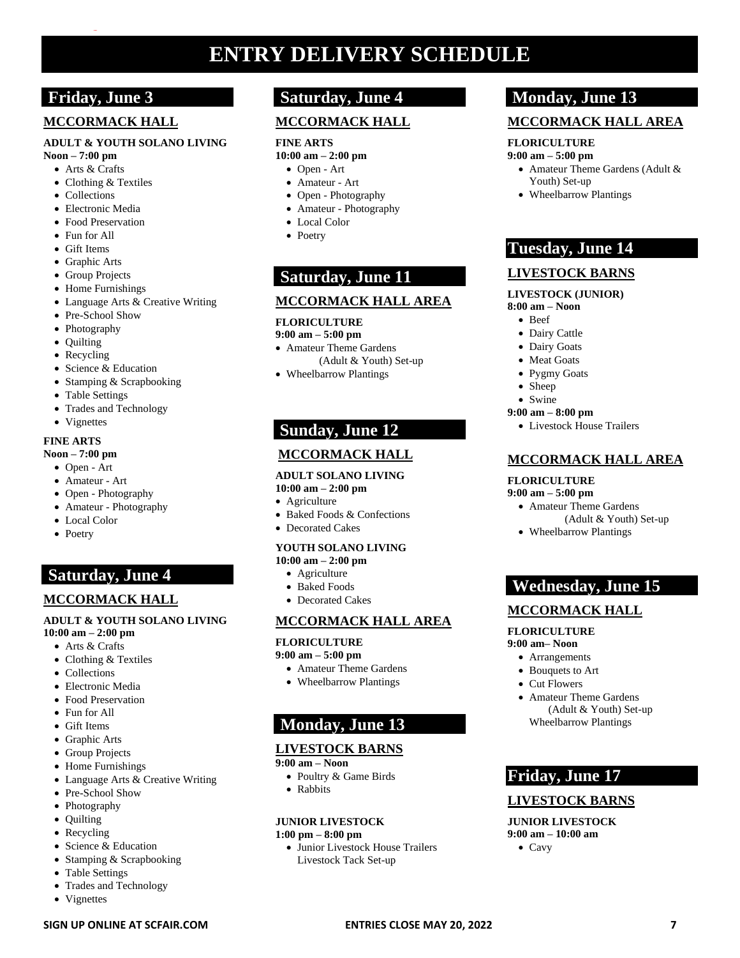# **ENTRY DELIVERY SCHEDULE**

# **Friday, June 3**

**…**

## **MCCORMACK HALL**

#### **ADULT & YOUTH SOLANO LIVING**

- **Noon – 7:00 pm**
	- Arts & Crafts
	- Clothing & Textiles
	- Collections
	- Electronic Media
	- Food Preservation
	- Fun for All
	- Gift Items
	- Graphic Arts
	- Group Projects
	- Home Furnishings
	- Language Arts & Creative Writing
	- Pre-School Show
	- Photography
	- Quilting
	- Recycling
	- Science & Education
	- Stamping & Scrapbooking
	- Table Settings
	- Trades and Technology
	- Vignettes

#### **FINE ARTS**

#### **Noon – 7:00 pm**

- Open Art
- Amateur Art
- Open Photography
- Amateur Photography
- Local Color
- Poetry

# **Saturday, June 4**

## **MCCORMACK HALL**

#### **ADULT & YOUTH SOLANO LIVING 10:00 am – 2:00 pm**

- Arts & Crafts
- Clothing & Textiles
- Collections
- Electronic Media
- Food Preservation
- Fun for All
- Gift Items
- Graphic Arts
- Group Projects
- Home Furnishings
- Language Arts & Creative Writing
- Pre-School Show
- Photography
- Quilting
- Recycling
- Science & Education
- Stamping & Scrapbooking
- Table Settings
- Trades and Technology
- Vignettes

# **Saturday, June 4**

# **MCCORMACK HALL**

#### **FINE ARTS**

- **10:00 am – 2:00 pm**
	- Open Art
	- Amateur Art
	- Open Photography
	- Amateur Photography
	- Local Color
	- Poetry

# **Saturday, June 11**

### **MCCORMACK HALL AREA**

### **FLORICULTURE**

#### **9:00 am – 5:00 pm**

- Amateur Theme Gardens (Adult & Youth) Set-up
- Wheelbarrow Plantings

# **Sunday, June 12**

## **MCCORMACK HALL**

### **ADULT SOLANO LIVING**

- **10:00 am – 2:00 pm** • Agriculture
- Baked Foods & Confections
- Decorated Cakes

### **YOUTH SOLANO LIVING**

- **10:00 am – 2:00 pm**
	- Agriculture
	- Baked Foods • Decorated Cakes
- 

# **MCCORMACK HALL AREA**

### **FLORICULTURE**

#### **9:00 am – 5:00 pm**

- Amateur Theme Gardens
- Wheelbarrow Plantings

# **Monday, June 13**

## **LIVESTOCK BARNS**

#### **9:00 am – Noon**

- Poultry & Game Birds
- Rabbits

## **JUNIOR LIVESTOCK**

- **1:00 pm – 8:00 pm**
	- Junior Livestock House Trailers Livestock Tack Set-up

**SIGN UP ONLINE AT SCFAIR.COM ENTRIES CLOSE MAY 20, 2022 7**

# **Monday, June 13**

# **MCCORMACK HALL AREA**

## **FLORICULTURE**

#### **9:00 am – 5:00 pm** • Amateur Theme Gardens (Adult &

Youth) Set-up • Wheelbarrow Plantings

**Tuesday, June 14**

**LIVESTOCK BARNS LIVESTOCK (JUNIOR)**

• Livestock House Trailers

• Amateur Theme Gardens

• Wheelbarrow Plantings

**Wednesday, June 15**

**MCCORMACK HALL**

• Amateur Theme Gardens

**Friday, June 17**

**LIVESTOCK BARNS JUNIOR LIVESTOCK 9:00 am – 10:00 am** • Cavy

 (Adult & Youth) Set-up Wheelbarrow Plantings

**FLORICULTURE 9:00 am– Noon** • Arrangements • Bouquets to Art • Cut Flowers

**FLORICULTURE 9:00 am – 5:00 pm**

**MCCORMACK HALL AREA**

(Adult & Youth) Set-up

**8:00 am – Noon** • Beef • Dairy Cattle • Dairy Goats • Meat Goats • Pygmy Goats • Sheep • Swine **9:00 am – 8:00 pm**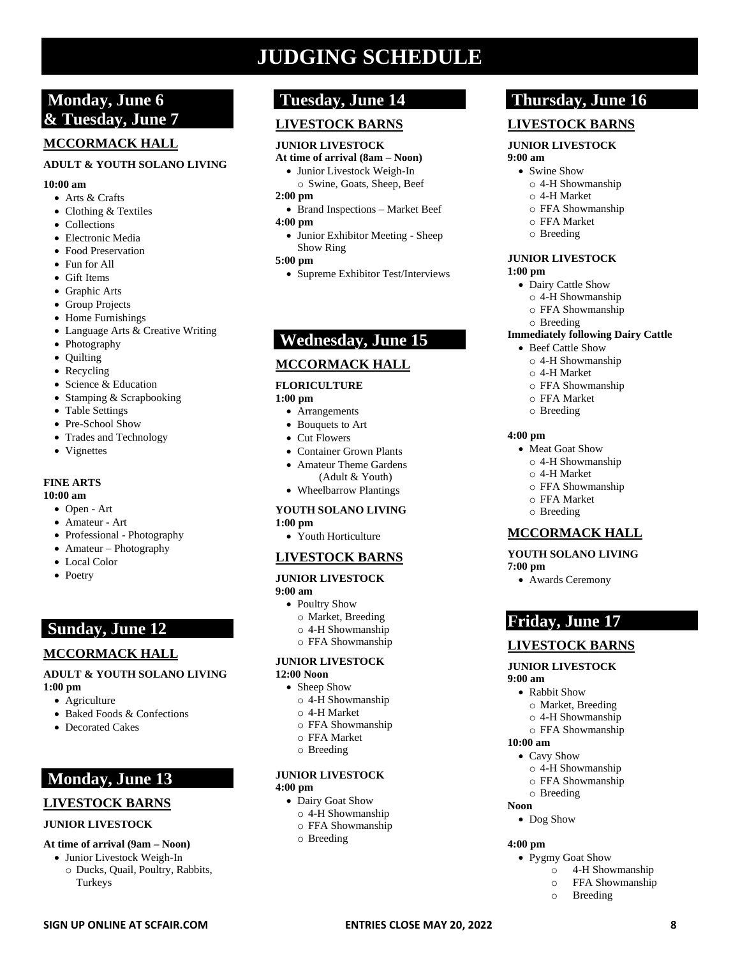# **JUDGING SCHEDULE**

# **Monday, June 6 & Tuesday, June 7**

## **MCCORMACK HALL**

#### **ADULT & YOUTH SOLANO LIVING**

#### **10:00 am**

- Arts & Crafts
- Clothing & Textiles
- Collections
- Electronic Media
- Food Preservation
- Fun for All
- Gift Items
- Graphic Arts
- Group Projects
- Home Furnishings
- Language Arts & Creative Writing
- Photography
- Quilting
- Recycling
- Science & Education
- Stamping & Scrapbooking
- Table Settings
- Pre-School Show
- Trades and Technology
- Vignettes

## **FINE ARTS**

#### **10:00 am**

- Open Art
- Amateur Art
- Professional Photography
- Amateur Photography
- Local Color
- Poetry

# **Sunday, June 12**

### **MCCORMACK HALL**

#### **ADULT & YOUTH SOLANO LIVING 1:00 pm**

- Agriculture
- Baked Foods & Confections
- Decorated Cakes

# **Monday, June 13**

### **LIVESTOCK BARNS**

#### **JUNIOR LIVESTOCK**

#### **At time of arrival (9am – Noon)**

• Junior Livestock Weigh-In o Ducks, Quail, Poultry, Rabbits, Turkeys

# **Tuesday, June 14**

# **LIVESTOCK BARNS**

#### **JUNIOR LIVESTOCK**

**At time of arrival (8am – Noon)**  • Junior Livestock Weigh-In

# o Swine, Goats, Sheep, Beef

- **2:00 pm**
- Brand Inspections Market Beef **4:00 pm**
- Junior Exhibitor Meeting Sheep Show Ring

#### **5:00 pm**

• Supreme Exhibitor Test/Interviews

# **Wednesday, June 15**

### **MCCORMACK HALL**

#### **FLORICULTURE**

#### **1:00 pm**

- Arrangements
- Bouquets to Art
- Cut Flowers
- Container Grown Plants • Amateur Theme Gardens
- (Adult & Youth)
- Wheelbarrow Plantings

#### **YOUTH SOLANO LIVING**

#### **1:00 pm**

• Youth Horticulture

#### **LIVESTOCK BARNS**

#### **JUNIOR LIVESTOCK 9:00 am**

- Poultry Show
- o Market, Breeding
- o 4-H Showmanship
- o FFA Showmanship

#### **JUNIOR LIVESTOCK**

#### **12:00 Noon**

- Sheep Show
	- o 4-H Showmanship
	- o 4-H Market o FFA Showmanship
	- o FFA Market
	- o Breeding
- 

#### **JUNIOR LIVESTOCK 4:00 pm**

- Dairy Goat Show
	- o 4-H Showmanship
	- o FFA Showmanship

**SIGN UP ONLINE AT SCFAIR.COM ENTRIES CLOSE MAY 20, 2022 8**

o Breeding

# **Thursday, June 16**

### **LIVESTOCK BARNS**

#### **JUNIOR LIVESTOCK 9:00 am**

# • Swine Show

- - o 4-H Showmanship o 4-H Market
	- o FFA Showmanship
	- o FFA Market
	- o Breeding

#### **JUNIOR LIVESTOCK**

o Breeding

• Beef Cattle Show o 4-H Showmanship o 4-H Market o FFA Showmanship o FFA Market o Breeding

• Meat Goat Show o 4-H Showmanship o 4-H Market o FFA Showmanship o FFA Market o Breeding

**MCCORMACK HALL YOUTH SOLANO LIVING**

• Awards Ceremony

**Friday, June 17**

• Rabbit Show

• Cavy Show

o Breeding

• Pygmy Goat Show

o Breeding

o 4-H Showmanship o FFA Showmanship

• Dog Show

**LIVESTOCK BARNS JUNIOR LIVESTOCK**

> o Market, Breeding o 4-H Showmanship o FFA Showmanship

> o 4-H Showmanship o FFA Showmanship

**1:00 pm**

**4:00 pm**

**7:00 pm**

**9:00 am**

**10:00 am** 

**Noon**

**4:00 pm**

- Dairy Cattle Show
- o 4-H Showmanship
- o FFA Showmanship

**Immediately following Dairy Cattle**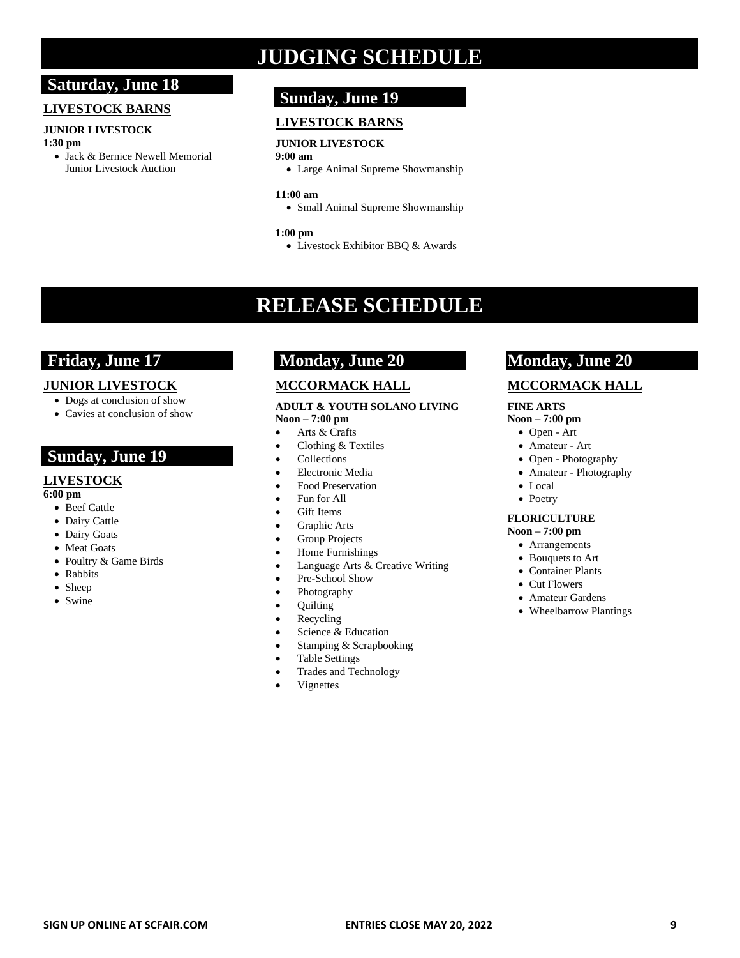# **Saturday, June 18**

#### **LIVESTOCK BARNS**

#### **JUNIOR LIVESTOCK 1:30 pm**

• Jack & Bernice Newell Memorial Junior Livestock Auction

# **JUDGING SCHEDULE**

# **Sunday, June 19**

# **LIVESTOCK BARNS**

#### **JUNIOR LIVESTOCK 9:00 am**

• Large Animal Supreme Showmanship

#### **11:00 am**

• Small Animal Supreme Showmanship

#### **1:00 pm**

• Livestock Exhibitor BBQ & Awards

# **RELEASE SCHEDULE**

# **Friday, June 17**

### **JUNIOR LIVESTOCK**

- Dogs at conclusion of show
- Cavies at conclusion of show

# **Sunday, June 19**

## **LIVESTOCK**

**6:00 pm**

- Beef Cattle
- Dairy Cattle
- Dairy Goats
- Meat Goats
- Poultry & Game Birds
- Rabbits
- Sheep
- Swine

# **Monday, June 20**

# **MCCORMACK HALL**

#### **ADULT & YOUTH SOLANO LIVING Noon – 7:00 pm**

### • Arts & Crafts

- Clothing & Textiles
- Collections
- Electronic Media
- Food Preservation
- Fun for All
- Gift Items
- Graphic Arts
- Group Projects
- Home Furnishings
- Language Arts & Creative Writing
- Pre-School Show
- Photography
- Quilting
- Recycling
- Science & Education
- Stamping & Scrapbooking
- Table Settings
- Trades and Technology
- **Vignettes**

# **Monday, June 20**

### **MCCORMACK HALL**

#### **FINE ARTS**

#### **Noon – 7:00 pm**

- Open Art
- Amateur Art
- Open Photography
- Amateur Photography
- Local
- Poetry

#### **FLORICULTURE**

#### **Noon – 7:00 pm**

- Arrangements
- Bouquets to Art
- Container Plants
- Cut Flowers
- Amateur Gardens
- Wheelbarrow Plantings